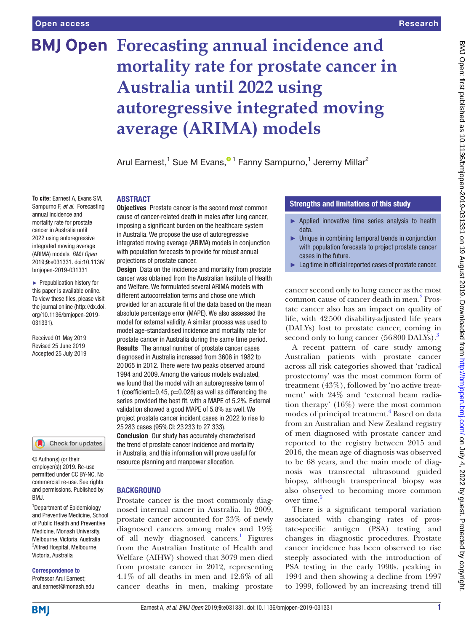**To cite:** Earnest A, Evans SM, Sampurno F, *et al*. Forecasting annual incidence and mortality rate for prostate cancer in Australia until 2022 using autoregressive integrated moving average (ARIMA) models. *BMJ Open* 2019;9:e031331. doi:10.1136/ bmjopen-2019-031331 ► Prepublication history for this paper is available online. To view these files, please visit the journal online [\(http://dx.doi.](http://dx.doi.org/10.1136/bmjopen-2019-031331) [org/10.1136/bmjopen-2019-](http://dx.doi.org/10.1136/bmjopen-2019-031331)

[031331\)](http://dx.doi.org/10.1136/bmjopen-2019-031331).

Received 01 May 2019 Revised 25 June 2019 Accepted 25 July 2019

<sup>1</sup>Department of Epidemiology and Preventive Medicine, School of Public Health and Preventive Medicine, Monash University, Melbourne, Victoria, Australia <sup>2</sup> Alfred Hospital, Melbourne, Victoria, Australia Correspondence to Professor Arul Earnest; arul.earnest@monash.edu

Check for updates

© Author(s) (or their employer(s)) 2019. Re-use permitted under CC BY-NC. No commercial re-use. See rights and permissions. Published by

RM<sub>J</sub>

# **BMJ Open Forecasting annual incidence and mortality rate for prostate cancer in Australia until 2022 using autoregressive integrated moving average (ARIMA) models**

Arul Earnest,<sup>1</sup> Sue M Evans,<sup>® 1</sup> Fanny Sampurno,<sup>1</sup> Jeremy Millar<sup>2</sup>

# **ABSTRACT**

**Objectives** Prostate cancer is the second most common cause of cancer-related death in males after lung cancer, imposing a significant burden on the healthcare system in Australia. We propose the use of autoregressive integrated moving average (ARIMA) models in conjunction with population forecasts to provide for robust annual projections of prostate cancer.

**Design** Data on the incidence and mortality from prostate cancer was obtained from the Australian Institute of Health and Welfare. We formulated several ARIMA models with different autocorrelation terms and chose one which provided for an accurate fit of the data based on the mean absolute percentage error (MAPE). We also assessed the model for external validity. A similar process was used to model age-standardised incidence and mortality rate for prostate cancer in Australia during the same time period. Results The annual number of prostate cancer cases diagnosed in Australia increased from 3606 in 1982 to 20 065 in 2012. There were two peaks observed around 1994 and 2009. Among the various models evaluated, we found that the model with an autoregressive term of 1 (coefficient=0.45,  $p=0.028$ ) as well as differencing the series provided the best fit, with a MAPE of 5.2%. External validation showed a good MAPE of 5.8% as well. We project prostate cancer incident cases in 2022 to rise to 25 283 cases (95%CI: 23 233 to 27 333).

Conclusion Our study has accurately characterised the trend of prostate cancer incidence and mortality in Australia, and this information will prove useful for resource planning and manpower allocation.

### **BACKGROUND**

Prostate cancer is the most commonly diagnosed internal cancer in Australia. In 2009, prostate cancer accounted for 33% of newly diagnosed cancers among males and 19% of all newly diagnosed cancers.<sup>[1](#page-5-0)</sup> Figures from the Australian Institute of Health and Welfare (AIHW) showed that 3079 men died from prostate cancer in 2012, representing 4.1% of all deaths in men and 12.6% of all cancer deaths in men, making prostate

# Strengths and limitations of this study

- $\triangleright$  Applied innovative time series analysis to health data.
- ► Unique in combining temporal trends in conjunction with population forecasts to project prostate cancer cases in the future.
- ► Lag time in official reported cases of prostate cancer.

cancer second only to lung cancer as the most common cause of cancer death in men.<sup>[2](#page-5-1)</sup> Prostate cancer also has an impact on quality of life, with 42500 disability-adjusted life years (DALYs) lost to prostate cancer, coming in second only to lung cancer  $(56800 \text{ DALYs})$ .<sup>[3](#page-5-2)</sup>

A recent pattern of care study among Australian patients with prostate cancer across all risk categories showed that 'radical prostectomy' was the most common form of treatment (43%), followed by 'no active treatment' with 24% and 'external beam radiation therapy' (16%) were the most common modes of principal treatment.<sup>[4](#page-5-3)</sup> Based on data from an Australian and New Zealand registry of men diagnosed with prostate cancer and reported to the registry between 2015 and 2016, the mean age of diagnosis was observed to be 68 years, and the main mode of diagnosis was transrectal ultrasound guided biopsy, although transperineal biopsy was also observed to becoming more common over time.<sup>[5](#page-5-4)</sup>

There is a significant temporal variation associated with changing rates of prostate-specific antigen (PSA) testing and changes in diagnostic procedures. Prostate cancer incidence has been observed to rise steeply associated with the introduction of PSA testing in the early 1990s, peaking in 1994 and then showing a decline from 1997 to 1999, followed by an increasing trend till

**BMI**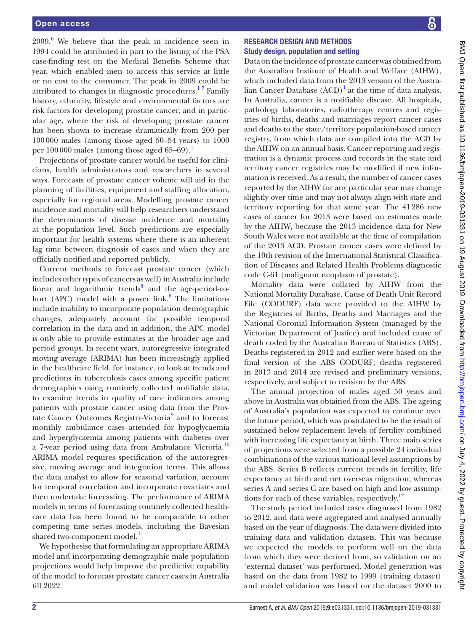2009.<sup>[6](#page-5-5)</sup> We believe that the peak in incidence seen in 1994 could be attributed in part to the listing of the PSA case-finding test on the Medical Benefits Scheme that year, which enabled men to access this service at little or no cost to the consumer. The peak in 2009 could be attributed to changes in diagnostic procedures.<sup>17</sup> Family history, ethnicity, lifestyle and environmental factors are risk factors for developing prostate cancer, and in particular age, where the risk of developing prostate cancer has been shown to increase dramatically from 200 per 100000 males (among those aged 50–54 years) to 1000 per  $100000$  $100000$  males (among those aged  $65-69$ ).<sup>1</sup>

Projections of prostate cancer would be useful for clinicians, health administrators and researchers in several ways. Forecasts of prostate cancer volume will aid in the planning of facilities, equipment and staffing allocation, especially for regional areas. Modelling prostate cancer incidence and mortality will help researchers understand the determinants of disease incidence and mortality at the population level. Such predictions are especially important for health systems where there is an inherent lag time between diagnosis of cases and when they are officially notified and reported publicly.

Current methods to forecast prostate cancer (which includes other types of cancers as well) in Australia include linear and logarithmic trends<sup>[8](#page-5-6)</sup> and the age-period-cohort (APC) model with a power link. $6$  The limitations include inability to incorporate population demographic changes, adequately account for possible temporal correlation in the data and in addition, the APC model is only able to provide estimates at the broader age and period groups. In recent years, autoregressive integrated moving average (ARIMA) has been increasingly applied in the healthcare field, for instance, to look at trends and predictions in tuberculosis cases among specific patient demographics using routinely collected notifiable data, to examine trends in quality of care indicators among patients with prostate cancer using data from the Pros-tate Cancer Outcomes Registry-Victoria<sup>[9](#page-5-7)</sup> and to forecast monthly ambulance cases attended for hypoglycaemia and hyperglycaemia among patients with diabetes over a 7-year period using data from Ambulance Victoria.<sup>[10](#page-5-8)</sup> ARIMA model requires specification of the autoregressive, moving average and integration terms. This allows the data analyst to allow for seasonal variation, account for temporal correlation and incorporate covariates and then undertake forecasting. The performance of ARIMA models in terms of forecasting routinely collected healthcare data has been found to be comparable to other competing time series models, including the Bayesian shared two-component model.<sup>[11](#page-6-0)</sup>

We hypothesise that formulating an appropriate ARIMA model and incorporating demographic male population projections would help improve the predictive capability of the model to forecast prostate cancer cases in Australia till 2022.

# Research design and methods Study design, population and setting

Data on the incidence of prostate cancer was obtained from the Australian Institute of Health and Welfare (AIHW), which included data from the 2013 version of the Australian Cancer Database  $(ACD)^{1}$  at the time of data analysis. In Australia, cancer is a notifiable disease. All hospitals, pathology laboratories, radiotherapy centres and registries of births, deaths and marriages report cancer cases and deaths to the state/territory population-based cancer registry, from which data are compiled into the ACD by the AIHW on an annual basis. Cancer reporting and registration is a dynamic process and records in the state and territory cancer registries may be modified if new information is received. As a result, the number of cancer cases reported by the AIHW for any particular year may change slightly over time and may not always align with state and territory reporting for that same year. The 41286 new cases of cancer for 2013 were based on estimates made by the AIHW, because the 2013 incidence data for New South Wales were not available at the time of compilation of the 2013 ACD. Prostate cancer cases were defined by the 10th revision of the International Statistical Classification of Diseases and Related Health Problems diagnostic code C-61 (malignant neoplasm of prostate).

Mortality data were collated by AIHW from the National Mortality Database. Cause of Death Unit Record File (CODURF) data were provided to the AIHW by the Registries of Births, Deaths and Marriages and the National Coronial Information System (managed by the Victorian Department of Justice) and included cause of death coded by the Australian Bureau of Statistics (ABS). Deaths registered in 2012 and earlier were based on the final version of the ABS CODURF; deaths registered in 2013 and 2014 are revised and preliminary versions, respectively, and subject to revision by the ABS.

The annual projection of males aged 50 years and above in Australia was obtained from the ABS. The ageing of Australia's population was expected to continue over the future period, which was postulated to be the result of sustained below replacement levels of fertility combined with increasing life expectancy at birth. Three main series of projections were selected from a possible 24 individual combinations of the various national-level assumptions by the ABS. Series B reflects current trends in fertility, life expectancy at birth and net overseas migration, whereas series A and series C are based on high and low assump-tions for each of these variables, respectively.<sup>[12](#page-6-1)</sup>

The study period included cases diagnosed from 1982 to 2012, and data were aggregated and analysed annually based on the year of diagnosis. The data were divided into training data and validation datasets. This was because we expected the models to perform well on the data from which they were derived from, so validation on an 'external dataset' was performed. Model generation was based on the data from 1982 to 1999 (training dataset) and model validation was based on the dataset 2000 to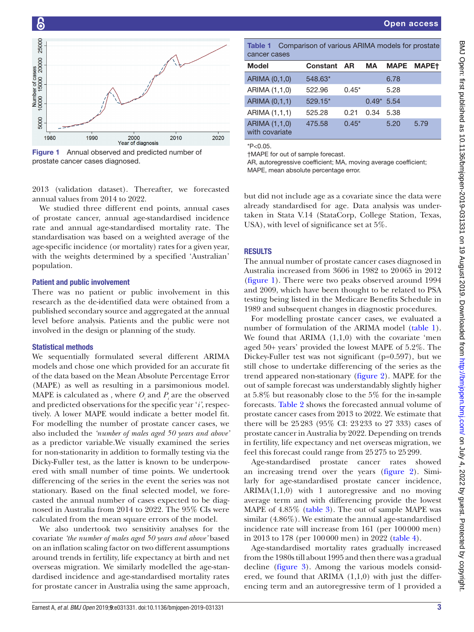



<span id="page-2-0"></span>Figure 1 Annual observed and predicted number of prostate cancer cases diagnosed.

<span id="page-2-1"></span>Table 1 Comparison of various ARIMA models for prostate cancer cases

|         |         | МA                 |      | <b>MAPE MAPET</b> |
|---------|---------|--------------------|------|-------------------|
| 548.63* |         |                    | 6.78 |                   |
| 522.96  | $0.45*$ |                    | 5.28 |                   |
| 529.15* |         |                    |      |                   |
| 525.28  | 0.21    | 0.34               | 5.38 |                   |
| 475.58  | $0.45*$ |                    | 5.20 | 5.79              |
|         |         | <b>Constant AR</b> |      | $0.49*5.54$       |

 $*P$   $\cap$   $\cap$   $\subseteq$ 

†MAPE for out of sample forecast.

AR, autoregressive coefficient; MA, moving average coefficient; MAPE, mean absolute percentage error.

but did not include age as a covariate since the data were already standardised for age. Data analysis was undertaken in Stata V.14 (StataCorp, College Station, Texas, USA), with level of significance set at 5%.

# **RESULTS**

The annual number of prostate cancer cases diagnosed in Australia increased from 3606 in 1982 to 20065 in 2012 [\(figure](#page-2-0) 1). There were two peaks observed around 1994 and 2009, which have been thought to be related to PSA testing being listed in the Medicare Benefits Schedule in 1989 and subsequent changes in diagnostic procedures.

For modelling prostate cancer cases, we evaluated a number of formulation of the ARIMA model [\(table](#page-2-1) 1). We found that ARIMA  $(1,1,0)$  with the covariate 'men aged 50+ years' provided the lowest MAPE of 5.2%. The Dickey-Fuller test was not significant (p=0.597), but we still chose to undertake differencing of the series as the trend appeared non-stationary ([figure](#page-3-0) 2). MAPE for the out of sample forecast was understandably slightly higher at 5.8% but reasonably close to the 5% for the in-sample forecasts. [Table](#page-3-1) 2 shows the forecasted annual volume of prostate cancer cases from 2013 to 2022. We estimate that there will be 25283 (95% CI: 23233 to 27 333) cases of prostate cancer in Australia by 2022. Depending on trends in fertility, life expectancy and net overseas migration, we feel this forecast could range from 25275 to 25299.

Age-standardised prostate cancer rates showed an increasing trend over the years [\(figure](#page-3-0) 2). Similarly for age-standardised prostate cancer incidence,  $ARIMA(1,1,0)$  with 1 autoregressive and no moving average term and with differencing provide the lowest MAPE of 4.85% [\(table](#page-3-2) 3). The out of sample MAPE was similar (4.86%). We estimate the annual age-standardised incidence rate will increase from 161 (per 100000 men) in 2013 to 178 (per 100000 men) in 2022 ([table](#page-4-0) 4).

Age-standardised mortality rates gradually increased from the 1980s till about 1995 and then there was a gradual decline [\(figure](#page-4-1) 3). Among the various models considered, we found that ARIMA  $(1,1,0)$  with just the differencing term and an autoregressive term of 1 provided a

2013 (validation dataset). Thereafter, we forecasted annual values from 2014 to 2022.

We studied three different end points, annual cases of prostate cancer, annual age-standardised incidence rate and annual age-standardised mortality rate. The standardisation was based on a weighted average of the age-specific incidence (or mortality) rates for a given year, with the weights determined by a specified 'Australian' population.

#### Patient and public involvement

There was no patient or public involvement in this research as the de-identified data were obtained from a published secondary source and aggregated at the annual level before analysis. Patients and the public were not involved in the design or planning of the study.

#### Statistical methods

 $\boldsymbol{b}$ 

We sequentially formulated several different ARIMA models and chose one which provided for an accurate fit of the data based on the Mean Absolute Percentage Error (MAPE) as well as resulting in a parsimonious model. MAPE is calculated as , where  $O_i$  and  $P_i$  are the observed and predicted observations for the specific year '*i'*, respectively. A lower MAPE would indicate a better model fit. For modelling the number of prostate cancer cases, we also included the *'number of males aged 50 years and above'* as a predictor variable.We visually examined the series for non-stationarity in addition to formally testing via the Dicky-Fuller test, as the latter is known to be underpowered with small number of time points. We undertook differencing of the series in the event the series was not stationary. Based on the final selected model, we forecasted the annual number of cases expected to be diagnosed in Australia from 2014 to 2022. The 95% CIs were calculated from the mean square errors of the model.

We also undertook two sensitivity analyses for the covariate *'the number of males aged 50 years and above'* based on an inflation scaling factor on two different assumptions around trends in fertility, life expectancy at birth and net overseas migration. We similarly modelled the age-standardised incidence and age-standardised mortality rates for prostate cancer in Australia using the same approach,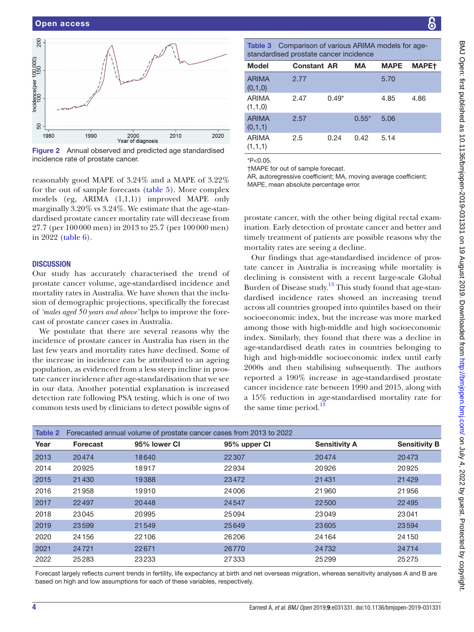

<span id="page-3-0"></span>Figure 2 Annual observed and predicted age standardised incidence rate of prostate cancer.

reasonably good MAPE of 3.24% and a MAPE of 3.22% and a MAPE mean absolute percentage error. for the out of sample forecasts ([table](#page-4-2) 5). More complex models (eg, ARIMA (1,1,1)) improved MAPE only marginally 3.20% vs 3.24%. We estimate that the age-standardised prostate cancer mortality rate will decrease from 27.7 (per 100000 men) in 2013 to 25.7 (per 100000 men) in 2022 ([table](#page-4-3) 6).

# **DISCUSSION**

Our study has accurately characterised the trend of prostate cancer volume, age-standardised incidence and mortality rates in Australia. We have shown that the inclusion of demographic projections, specifically the forecast of *'males aged 50 years and above'* helps to improve the forecast of prostate cancer cases in Australia.

We postulate that there are several reasons why the incidence of prostate cancer in Australia has risen in the last few years and mortality rates have declined. Some of the increase in incidence can be attributed to an ageing population, as evidenced from a less steep incline in prostate cancer incidence after age-standardisation that we see in our data. Another potential explanation is increased detection rate following PSA testing, which is one of two common tests used by clinicians to detect possible signs of <span id="page-3-2"></span>Table 3 Comparison of various ARIMA models for agestandardised prostate cancer incidence

| <b>Model</b>            | <b>Constant AR</b> |         | МA      | <b>MAPE</b> | <b>MAPE+</b> |
|-------------------------|--------------------|---------|---------|-------------|--------------|
| <b>ARIMA</b><br>(0,1,0) | 2.77               |         |         | 5.70        |              |
| ARIMA<br>(1,1,0)        | 2.47               | $0.49*$ |         | 4.85        | 4.86         |
| <b>ARIMA</b><br>(0,1,1) | 2.57               |         | $0.55*$ | 5.06        |              |
| <b>ARIMA</b><br>(1,1,1) | 2.5                | 0.24    | 0.42    | 5.14        |              |

 $*P<0.05$ .

†MAPE for out of sample forecast.

AR, autoregressive coefficient; MA, moving average coefficient;

prostate cancer, with the other being digital rectal examination. Early detection of prostate cancer and better and timely treatment of patients are possible reasons why the mortality rates are seeing a decline.

Our findings that age-standardised incidence of prostate cancer in Australia is increasing while mortality is declining is consistent with a recent large-scale Global Burden of Disease study.<sup>13</sup> This study found that age-standardised incidence rates showed an increasing trend across all countries grouped into quintiles based on their socioeconomic index, but the increase was more marked among those with high-middle and high socioeconomic index. Similarly, they found that there was a decline in age-standardised death rates in countries belonging to high and high-middle socioeconomic index until early 2000s and then stabilising subsequently. The authors reported a 190% increase in age-standardised prostate cancer incidence rate between 1990 and 2015, along with a 15% reduction in age-standardised mortality rate for the same time period. $13$ 

<span id="page-3-1"></span>

|      | Table 2 Forecasted annual volume of prostate cancer cases from 2013 to 2022 |              |              |                      |                      |
|------|-----------------------------------------------------------------------------|--------------|--------------|----------------------|----------------------|
| Year | <b>Forecast</b>                                                             | 95% lower CI | 95% upper CI | <b>Sensitivity A</b> | <b>Sensitivity B</b> |
| 2013 | 20474                                                                       | 18640        | 22307        | 20474                | 20473                |
| 2014 | 20925                                                                       | 18917        | 22934        | 20926                | 20925                |
| 2015 | 21430                                                                       | 19388        | 23472        | 21431                | 21429                |
| 2016 | 21958                                                                       | 19910        | 24006        | 21960                | 21956                |
| 2017 | 22497                                                                       | 20448        | 24547        | 22500                | 22495                |
| 2018 | 23045                                                                       | 20995        | 25094        | 23049                | 23041                |
| 2019 | 23599                                                                       | 21549        | 25649        | 23605                | 23594                |
| 2020 | 24156                                                                       | 22106        | 26206        | 24164                | 24150                |
| 2021 | 24721                                                                       | 22671        | 26770        | 24732                | 24714                |
| 2022 | 25283                                                                       | 23233        | 27333        | 25299                | 25275                |

Forecast largely reflects current trends in fertility, life expectancy at birth and net overseas migration, whereas sensitivity analyses A and B are based on high and low assumptions for each of these variables, respectively.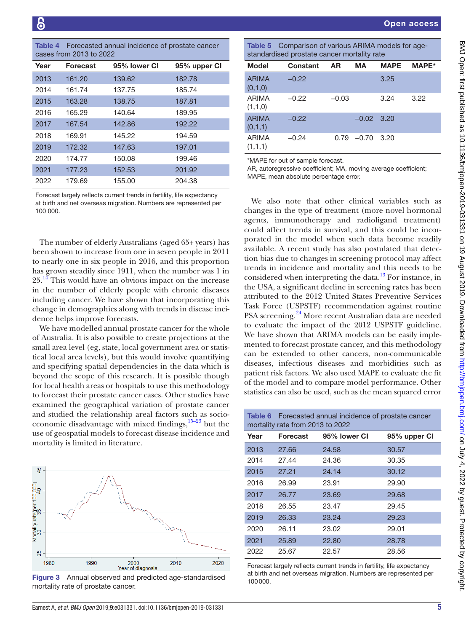<span id="page-4-0"></span>Table 4 Forecasted annual incidence of prostate cancer cases from 2013 to 2022

| Year | <b>Forecast</b> | 95% lower CI | 95% upper CI |  |  |
|------|-----------------|--------------|--------------|--|--|
| 2013 | 161.20          | 139.62       | 182.78       |  |  |
| 2014 | 161.74          | 137.75       | 185.74       |  |  |
| 2015 | 163.28          | 138.75       | 187.81       |  |  |
| 2016 | 165.29          | 140.64       | 189.95       |  |  |
| 2017 | 167.54          | 142.86       | 192.22       |  |  |
| 2018 | 169.91          | 145.22       | 194.59       |  |  |
| 2019 | 172.32          | 147.63       | 197.01       |  |  |
| 2020 | 174.77          | 150.08       | 199.46       |  |  |
| 2021 | 177.23          | 152.53       | 201.92       |  |  |
| 2022 | 179.69          | 155.00       | 204.38       |  |  |

Forecast largely reflects current trends in fertility, life expectancy at birth and net overseas migration. Numbers are represented per 100 000.

The number of elderly Australians (aged 65+ years) has been shown to increase from one in seven people in 2011 to nearly one in six people in 2016, and this proportion has grown steadily since 1911, when the number was 1 in  $25.<sup>14</sup>$  This would have an obvious impact on the increase in the number of elderly people with chronic diseases including cancer. We have shown that incorporating this change in demographics along with trends in disease incidence helps improve forecasts.

We have modelled annual prostate cancer for the whole of Australia. It is also possible to create projections at the small area level (eg, state, local government area or statistical local area levels), but this would involve quantifying and specifying spatial dependencies in the data which is beyond the scope of this research. It is possible though for local health areas or hospitals to use this methodology to forecast their prostate cancer cases. Other studies have examined the geographical variation of prostate cancer and studied the relationship areal factors such as socioeconomic disadvantage with mixed findings,<sup>15-23</sup> but the use of geospatial models to forecast disease incidence and mortality is limited in literature.



<span id="page-4-1"></span>Figure 3 Annual observed and predicted age-standardised mortality rate of prostate cancer.

<span id="page-4-2"></span>Table 5 Comparison of various ARIMA models for agestandardised prostate cancer mortality rate

| <b>Model</b>            | Constant | <b>AR</b> | <b>MA</b>     | <b>MAPE</b> | <b>MAPE*</b> |
|-------------------------|----------|-----------|---------------|-------------|--------------|
| <b>ARIMA</b><br>(0,1,0) | $-0.22$  |           |               | 3.25        |              |
| <b>ARIMA</b><br>(1,1,0) | $-0.22$  | $-0.03$   |               | 3.24        | 3.22         |
| <b>ARIMA</b><br>(0,1,1) | $-0.22$  |           | $-0.02$ 3.20  |             |              |
| <b>ARIMA</b><br>(1,1,1) | $-0.24$  |           | $0.79 - 0.70$ | 3.20        |              |

\*MAPE for out of sample forecast.

AR, autoregressive coefficient; MA, moving average coefficient; MAPE, mean absolute percentage error.

We also note that other clinical variables such as changes in the type of treatment (more novel hormonal agents, immunotherapy and radioligand treatment) could affect trends in survival, and this could be incorporated in the model when such data become readily available. A recent study has also postulated that detection bias due to changes in screening protocol may affect trends in incidence and mortality and this needs to be considered when interpreting the data.<sup>[13](#page-6-2)</sup> For instance, in the USA, a significant decline in screening rates has been attributed to the 2012 United States Preventive Services Task Force (USPSTF) recommendation against routine PSA screening.<sup>24</sup> More recent Australian data are needed to evaluate the impact of the 2012 USPSTF guideline. We have shown that ARIMA models can be easily implemented to forecast prostate cancer, and this methodology can be extended to other cancers, non-communicable diseases, infectious diseases and morbidities such as patient risk factors. We also used MAPE to evaluate the fit of the model and to compare model performance. Other statistics can also be used, such as the mean squared error

<span id="page-4-3"></span>

| Table 6 Forecasted annual incidence of prostate cancer<br>mortality rate from 2013 to 2022 |                 |              |              |  |  |
|--------------------------------------------------------------------------------------------|-----------------|--------------|--------------|--|--|
| Year                                                                                       | <b>Forecast</b> | 95% lower CI | 95% upper CI |  |  |
| 2013                                                                                       | 27.66           | 24.58        | 30.57        |  |  |
| 2014                                                                                       | 27.44           | 24.36        | 30.35        |  |  |
| 2015                                                                                       | 27.21           | 24.14        | 30.12        |  |  |
| 2016                                                                                       | 26.99           | 23.91        | 29.90        |  |  |
| 2017                                                                                       | 26.77           | 23.69        | 29.68        |  |  |
| 2018                                                                                       | 26.55           | 23.47        | 29.45        |  |  |
| 2019                                                                                       | 26.33           | 23.24        | 29.23        |  |  |
| 2020                                                                                       | 26.11           | 23.02        | 29.01        |  |  |
| 2021                                                                                       | 25.89           | 22.80        | 28.78        |  |  |
| 2022                                                                                       | 25.67           | 22.57        | 28.56        |  |  |

Forecast largely reflects current trends in fertility, life expectancy at birth and net overseas migration. Numbers are represented per 100000.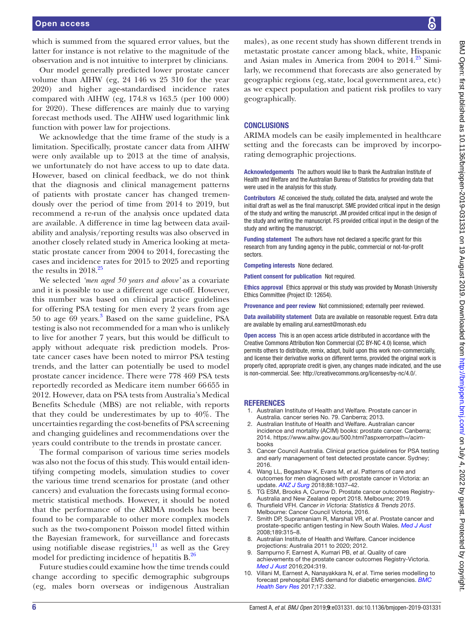which is summed from the squared error values, but the latter for instance is not relative to the magnitude of the observation and is not intuitive to interpret by clinicians.

Our model generally predicted lower prostate cancer volume than AIHW (eg, 24 146 vs 25 310 for the year 2020) and higher age-standardised incidence rates compared with AIHW (eg, 174.8 vs 163.5 (per 100 000) for 2020). These differences are mainly due to varying forecast methods used. The AIHW used logarithmic link function with power law for projections.

We acknowledge that the time frame of the study is a limitation. Specifically, prostate cancer data from AIHW were only available up to 2013 at the time of analysis, we unfortunately do not have access to up to date data. However, based on clinical feedback, we do not think that the diagnosis and clinical management patterns of patients with prostate cancer has changed tremendously over the period of time from 2014 to 2019, but recommend a re-run of the analysis once updated data are available. A difference in time lag between data availability and analysis/reporting results was also observed in another closely related study in America looking at metastatic prostate cancer from 2004 to 2014, forecasting the cases and incidence rates for 2015 to 2025 and reporting the results in  $2018.<sup>25</sup>$  $2018.<sup>25</sup>$  $2018.<sup>25</sup>$ 

We selected *'men aged 50 years and above'* as a covariate and it is possible to use a different age cut-off. However, this number was based on clinical practice guidelines for offering PSA testing for men every 2 years from age 50 to age 69 years.<sup>[3](#page-5-2)</sup> Based on the same guideline, PSA testing is also not recommended for a man who is unlikely to live for another 7 years, but this would be difficult to apply without adequate risk prediction models. Prostate cancer cases have been noted to mirror PSA testing trends, and the latter can potentially be used to model prostate cancer incidence. There were 778 469 PSA tests reportedly recorded as Medicare item number 66655 in 2012. However, data on PSA tests from Australia's Medical Benefits Schedule (MBS) are not reliable, with reports that they could be underestimates by up to 40%. The uncertainties regarding the cost-benefits of PSA screening and changing guidelines and recommendations over the years could contribute to the trends in prostate cancer.

The formal comparison of various time series models was also not the focus of this study. This would entail identifying competing models, simulation studies to cover the various time trend scenarios for prostate (and other cancers) and evaluation the forecasts using formal econometric statistical methods. However, it should be noted that the performance of the ARIMA models has been found to be comparable to other more complex models such as the two-component Poisson model fitted within the Bayesian framework, for surveillance and forecasts using notifiable disease registries, $\frac{11}{1}$  as well as the Grey model for predicting incidence of hepatitis B.<sup>26</sup>

Future studies could examine how the time trends could change according to specific demographic subgroups (eg, males born overseas or indigenous Australian

males), as one recent study has shown different trends in metastatic prostate cancer among black, white, Hispanic and Asian males in America from  $2004$  to  $2014.<sup>25</sup>$  $2014.<sup>25</sup>$  $2014.<sup>25</sup>$  Similarly, we recommend that forecasts are also generated by geographic regions (eg, state, local government area, etc) as we expect population and patient risk profiles to vary geographically.

### **CONCLUSIONS**

ARIMA models can be easily implemented in healthcare setting and the forecasts can be improved by incorporating demographic projections.

Acknowledgements The authors would like to thank the Australian Institute of Health and Welfare and the Australian Bureau of Statistics for providing data that were used in the analysis for this study.

Contributors AE conceived the study, collated the data, analysed and wrote the initial draft as well as the final manuscript. SME provided critical input in the design of the study and writing the manuscript. JM provided critical input in the design of the study and writing the manuscript. FS provided critical input in the design of the study and writing the manuscript.

Funding statement The authors have not declared a specific grant for this research from any funding agency in the public, commercial or not-for-profit sectors.

Competing interests None declared.

Patient consent for publication Not required.

Ethics approval Ethics approval or this study was provided by Monash University Ethics Committee (Project ID: 12654).

Provenance and peer review Not commissioned; externally peer reviewed.

Data availability statement Data are available on reasonable request. Extra data are available by emailing arul.earnest@monash.edu

Open access This is an open access article distributed in accordance with the Creative Commons Attribution Non Commercial (CC BY-NC 4.0) license, which permits others to distribute, remix, adapt, build upon this work non-commercially, and license their derivative works on different terms, provided the original work is properly cited, appropriate credit is given, any changes made indicated, and the use is non-commercial. See: [http://creativecommons.org/licenses/by-nc/4.0/.](http://creativecommons.org/licenses/by-nc/4.0/)

#### **REFERENCES**

- <span id="page-5-0"></span>1. Australian Institute of Health and Welfare. Prostate cancer in Australia. cancer series No. 79. Canberra; 2013.
- <span id="page-5-1"></span>2. Australian Institute of Health and Welfare. Australian cancer incidence and mortality (ACIM) books: prostate cancer. Canberra; 2014. [https://www.aihw.gov.au/500.html?aspxerrorpath=/acim](https://www.aihw.gov.au/500.html?aspxerrorpath=/acim-books)[books](https://www.aihw.gov.au/500.html?aspxerrorpath=/acim-books)
- <span id="page-5-2"></span>3. Cancer Council Australia. Clinical practice guidelines for PSA testing and early management of test detected prostate cancer. Sydney; 2016.
- <span id="page-5-3"></span>4. Wang LL, Begashaw K, Evans M, *et al*. Patterns of care and outcomes for men diagnosed with prostate cancer in Victoria: an update. *[ANZ J Surg](http://dx.doi.org/10.1111/ans.14722)* 2018;88:1037–42.
- <span id="page-5-4"></span>5. TG ESM, Brooks A, Currow D. Prostate cancer outcomes Registry-Australia and New Zealand report 2018. Melbourne; 2019.
- <span id="page-5-5"></span>6. Thursfield VFH. *Cancer in Victoria: Statistics & Trends 2015*. Melbourne: Cancer Council Victoria, 2016.
- 7. Smith DP, Supramaniam R, Marshall VR, *et al*. Prostate cancer and prostate-specific antigen testing in New South Wales. *[Med J Aust](http://www.ncbi.nlm.nih.gov/pubmed/18803534)* 2008;189:315–8.
- <span id="page-5-6"></span>8. Australian Institute of Health and Welfare. Cancer incidence projections: Australia 2011 to 2020; 2012.
- <span id="page-5-7"></span>9. Sampurno F, Earnest A, Kumari PB, *et al*. Quality of care achievements of the prostate cancer outcomes Registry-Victoria. *[Med J Aust](http://dx.doi.org/10.5694/mja15.01041)* 2016;204:319.
- <span id="page-5-8"></span>10. Villani M, Earnest A, Nanayakkara N, *et al*. Time series modelling to forecast prehospital EMS demand for diabetic emergencies. *[BMC](http://dx.doi.org/10.1186/s12913-017-2280-6)  [Health Serv Res](http://dx.doi.org/10.1186/s12913-017-2280-6)* 2017;17:332.